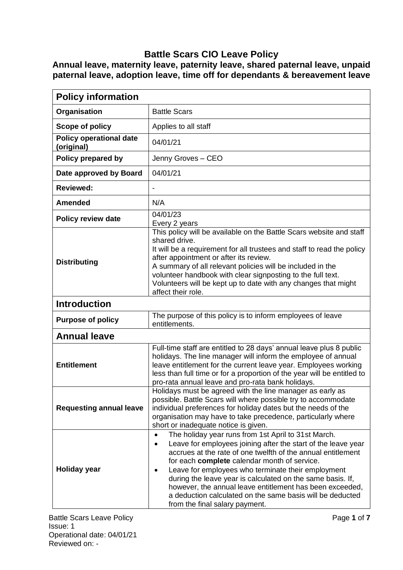## **Battle Scars CIO Leave Policy**

**Annual leave, maternity leave, paternity leave, shared paternal leave, unpaid paternal leave, adoption leave, time off for dependants & bereavement leave**

| <b>Policy information</b>                    |                                                                                                                                                                                                                                                                                                                                                                                                                                                                                                                                       |
|----------------------------------------------|---------------------------------------------------------------------------------------------------------------------------------------------------------------------------------------------------------------------------------------------------------------------------------------------------------------------------------------------------------------------------------------------------------------------------------------------------------------------------------------------------------------------------------------|
| Organisation                                 | <b>Battle Scars</b>                                                                                                                                                                                                                                                                                                                                                                                                                                                                                                                   |
| Scope of policy                              | Applies to all staff                                                                                                                                                                                                                                                                                                                                                                                                                                                                                                                  |
| <b>Policy operational date</b><br>(original) | 04/01/21                                                                                                                                                                                                                                                                                                                                                                                                                                                                                                                              |
| Policy prepared by                           | Jenny Groves - CEO                                                                                                                                                                                                                                                                                                                                                                                                                                                                                                                    |
| Date approved by Board                       | 04/01/21                                                                                                                                                                                                                                                                                                                                                                                                                                                                                                                              |
| <b>Reviewed:</b>                             |                                                                                                                                                                                                                                                                                                                                                                                                                                                                                                                                       |
| <b>Amended</b>                               | N/A                                                                                                                                                                                                                                                                                                                                                                                                                                                                                                                                   |
| <b>Policy review date</b>                    | 04/01/23<br>Every 2 years                                                                                                                                                                                                                                                                                                                                                                                                                                                                                                             |
| <b>Distributing</b>                          | This policy will be available on the Battle Scars website and staff<br>shared drive.<br>It will be a requirement for all trustees and staff to read the policy<br>after appointment or after its review.<br>A summary of all relevant policies will be included in the<br>volunteer handbook with clear signposting to the full text.<br>Volunteers will be kept up to date with any changes that might<br>affect their role.                                                                                                         |
| <b>Introduction</b>                          |                                                                                                                                                                                                                                                                                                                                                                                                                                                                                                                                       |
| <b>Purpose of policy</b>                     | The purpose of this policy is to inform employees of leave<br>entitlements.                                                                                                                                                                                                                                                                                                                                                                                                                                                           |
| <b>Annual leave</b>                          |                                                                                                                                                                                                                                                                                                                                                                                                                                                                                                                                       |
| <b>Entitlement</b>                           | Full-time staff are entitled to 28 days' annual leave plus 8 public<br>holidays. The line manager will inform the employee of annual<br>leave entitlement for the current leave year. Employees working<br>less than full time or for a proportion of the year will be entitled to<br>pro-rata annual leave and pro-rata bank holidays.                                                                                                                                                                                               |
| <b>Requesting annual leave</b>               | Holidays must be agreed with the line manager as early as<br>possible. Battle Scars will where possible try to accommodate<br>individual preferences for holiday dates but the needs of the<br>organisation may have to take precedence, particularly where<br>short or inadequate notice is given.                                                                                                                                                                                                                                   |
| <b>Holiday year</b>                          | The holiday year runs from 1st April to 31st March.<br>$\bullet$<br>Leave for employees joining after the start of the leave year<br>accrues at the rate of one twelfth of the annual entitlement<br>for each complete calendar month of service.<br>Leave for employees who terminate their employment<br>٠<br>during the leave year is calculated on the same basis. If,<br>however, the annual leave entitlement has been exceeded,<br>a deduction calculated on the same basis will be deducted<br>from the final salary payment. |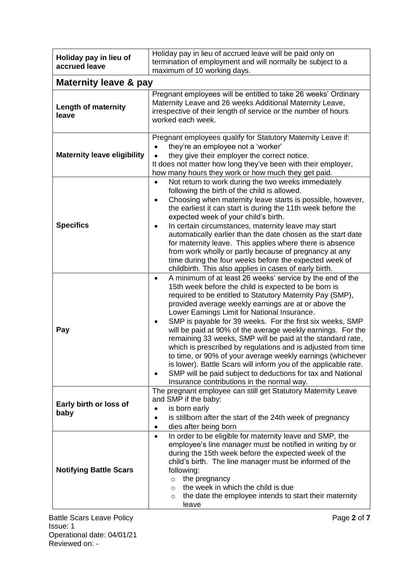| Holiday pay in lieu of<br>accrued leave | Holiday pay in lieu of accrued leave will be paid only on<br>termination of employment and will normally be subject to a<br>maximum of 10 working days.                                                                                                                                                                                                                                                                                                                                                                                                                                                                                                                                                                                                                                                     |
|-----------------------------------------|-------------------------------------------------------------------------------------------------------------------------------------------------------------------------------------------------------------------------------------------------------------------------------------------------------------------------------------------------------------------------------------------------------------------------------------------------------------------------------------------------------------------------------------------------------------------------------------------------------------------------------------------------------------------------------------------------------------------------------------------------------------------------------------------------------------|
| <b>Maternity leave &amp; pay</b>        |                                                                                                                                                                                                                                                                                                                                                                                                                                                                                                                                                                                                                                                                                                                                                                                                             |
| <b>Length of maternity</b><br>leave     | Pregnant employees will be entitled to take 26 weeks' Ordinary<br>Maternity Leave and 26 weeks Additional Maternity Leave,<br>irrespective of their length of service or the number of hours<br>worked each week.                                                                                                                                                                                                                                                                                                                                                                                                                                                                                                                                                                                           |
| <b>Maternity leave eligibility</b>      | Pregnant employees qualify for Statutory Maternity Leave if:<br>they're an employee not a 'worker'<br>they give their employer the correct notice.<br>It does not matter how long they've been with their employer,<br>how many hours they work or how much they get paid.                                                                                                                                                                                                                                                                                                                                                                                                                                                                                                                                  |
| <b>Specifics</b>                        | Not return to work during the two weeks immediately<br>following the birth of the child is allowed.<br>Choosing when maternity leave starts is possible, however,<br>٠<br>the earliest it can start is during the 11th week before the<br>expected week of your child's birth.<br>In certain circumstances, maternity leave may start<br>automatically earlier than the date chosen as the start date<br>for maternity leave. This applies where there is absence<br>from work wholly or partly because of pregnancy at any<br>time during the four weeks before the expected week of<br>childbirth. This also applies in cases of early birth.                                                                                                                                                             |
| Pay                                     | A minimum of at least 26 weeks' service by the end of the<br>$\bullet$<br>15th week before the child is expected to be born is<br>required to be entitled to Statutory Maternity Pay (SMP),<br>provided average weekly earnings are at or above the<br>Lower Earnings Limit for National Insurance.<br>SMP is payable for 39 weeks. For the first six weeks, SMP<br>will be paid at 90% of the average weekly earnings. For the<br>remaining 33 weeks, SMP will be paid at the standard rate,<br>which is prescribed by regulations and is adjusted from time<br>to time, or 90% of your average weekly earnings (whichever<br>is lower). Battle Scars will inform you of the applicable rate.<br>SMP will be paid subject to deductions for tax and National<br>Insurance contributions in the normal way. |
| Early birth or loss of<br>baby          | The pregnant employee can still get Statutory Maternity Leave<br>and SMP if the baby:<br>is born early<br>$\bullet$<br>is stillborn after the start of the 24th week of pregnancy<br>$\bullet$<br>dies after being born<br>$\bullet$                                                                                                                                                                                                                                                                                                                                                                                                                                                                                                                                                                        |
| <b>Notifying Battle Scars</b>           | In order to be eligible for maternity leave and SMP, the<br>$\bullet$<br>employee's line manager must be notified in writing by or<br>during the 15th week before the expected week of the<br>child's birth. The line manager must be informed of the<br>following:<br>the pregnancy<br>$\circ$<br>the week in which the child is due<br>$\circ$<br>the date the employee intends to start their maternity<br>$\circ$<br>leave                                                                                                                                                                                                                                                                                                                                                                              |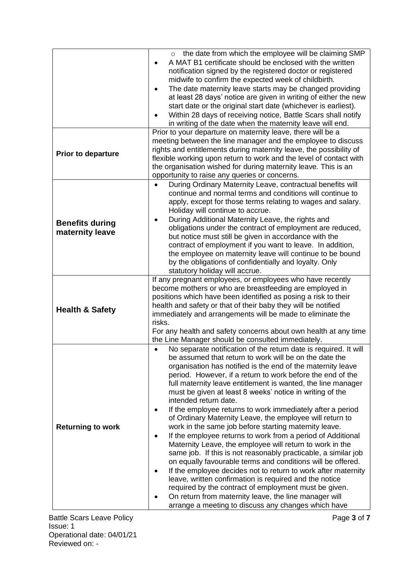|                                           | the date from which the employee will be claiming SMP<br>A MAT B1 certificate should be enclosed with the written<br>$\bullet$<br>notification signed by the registered doctor or registered<br>midwife to confirm the expected week of childbirth.<br>The date maternity leave starts may be changed providing<br>$\bullet$<br>at least 28 days' notice are given in writing of either the new<br>start date or the original start date (whichever is earliest).<br>Within 28 days of receiving notice, Battle Scars shall notify<br>$\bullet$<br>in writing of the date when the maternity leave will end.                                                                                                                                                                                                                                                                                                                                                                                                                                                                                                                                                                                        |
|-------------------------------------------|-----------------------------------------------------------------------------------------------------------------------------------------------------------------------------------------------------------------------------------------------------------------------------------------------------------------------------------------------------------------------------------------------------------------------------------------------------------------------------------------------------------------------------------------------------------------------------------------------------------------------------------------------------------------------------------------------------------------------------------------------------------------------------------------------------------------------------------------------------------------------------------------------------------------------------------------------------------------------------------------------------------------------------------------------------------------------------------------------------------------------------------------------------------------------------------------------------|
| <b>Prior to departure</b>                 | Prior to your departure on maternity leave, there will be a<br>meeting between the line manager and the employee to discuss<br>rights and entitlements during maternity leave, the possibility of<br>flexible working upon return to work and the level of contact with<br>the organisation wished for during maternity leave. This is an<br>opportunity to raise any queries or concerns.                                                                                                                                                                                                                                                                                                                                                                                                                                                                                                                                                                                                                                                                                                                                                                                                          |
| <b>Benefits during</b><br>maternity leave | During Ordinary Maternity Leave, contractual benefits will<br>$\bullet$<br>continue and normal terms and conditions will continue to<br>apply, except for those terms relating to wages and salary.<br>Holiday will continue to accrue.<br>During Additional Maternity Leave, the rights and<br>٠<br>obligations under the contract of employment are reduced,<br>but notice must still be given in accordance with the<br>contract of employment if you want to leave. In addition,<br>the employee on maternity leave will continue to be bound<br>by the obligations of confidentially and loyalty. Only<br>statutory holiday will accrue.                                                                                                                                                                                                                                                                                                                                                                                                                                                                                                                                                       |
| <b>Health &amp; Safety</b>                | If any pregnant employees, or employees who have recently<br>become mothers or who are breastfeeding are employed in<br>positions which have been identified as posing a risk to their<br>health and safety or that of their baby they will be notified<br>immediately and arrangements will be made to eliminate the<br>risks.<br>For any health and safety concerns about own health at any time<br>the Line Manager should be consulted immediately.                                                                                                                                                                                                                                                                                                                                                                                                                                                                                                                                                                                                                                                                                                                                             |
| <b>Returning to work</b>                  | No separate notification of the return date is required. It will<br>$\bullet$<br>be assumed that return to work will be on the date the<br>organisation has notified is the end of the maternity leave<br>period. However, if a return to work before the end of the<br>full maternity leave entitlement is wanted, the line manager<br>must be given at least 8 weeks' notice in writing of the<br>intended return date.<br>If the employee returns to work immediately after a period<br>٠<br>of Ordinary Maternity Leave, the employee will return to<br>work in the same job before starting maternity leave.<br>If the employee returns to work from a period of Additional<br>٠<br>Maternity Leave, the employee will return to work in the<br>same job. If this is not reasonably practicable, a similar job<br>on equally favourable terms and conditions will be offered.<br>If the employee decides not to return to work after maternity<br>$\bullet$<br>leave, written confirmation is required and the notice<br>required by the contract of employment must be given.<br>On return from maternity leave, the line manager will<br>arrange a meeting to discuss any changes which have |

Battle Scars Leave Policy **Page 3** of **7** Issue: 1 Operational date: 04/01/21 Reviewed on: -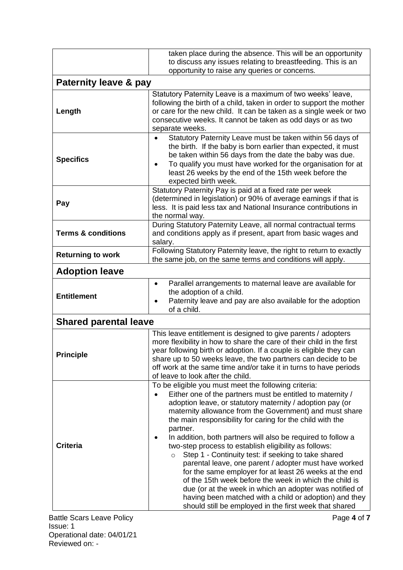|                                  | taken place during the absence. This will be an opportunity<br>to discuss any issues relating to breastfeeding. This is an                                                                                                                                                                                                                                                                                                                                                                                                                                                                                                                                                                                                                                                                                                                                                 |
|----------------------------------|----------------------------------------------------------------------------------------------------------------------------------------------------------------------------------------------------------------------------------------------------------------------------------------------------------------------------------------------------------------------------------------------------------------------------------------------------------------------------------------------------------------------------------------------------------------------------------------------------------------------------------------------------------------------------------------------------------------------------------------------------------------------------------------------------------------------------------------------------------------------------|
|                                  | opportunity to raise any queries or concerns.                                                                                                                                                                                                                                                                                                                                                                                                                                                                                                                                                                                                                                                                                                                                                                                                                              |
| <b>Paternity leave &amp; pay</b> |                                                                                                                                                                                                                                                                                                                                                                                                                                                                                                                                                                                                                                                                                                                                                                                                                                                                            |
| Length                           | Statutory Paternity Leave is a maximum of two weeks' leave,<br>following the birth of a child, taken in order to support the mother<br>or care for the new child. It can be taken as a single week or two<br>consecutive weeks. It cannot be taken as odd days or as two<br>separate weeks.                                                                                                                                                                                                                                                                                                                                                                                                                                                                                                                                                                                |
| <b>Specifics</b>                 | Statutory Paternity Leave must be taken within 56 days of<br>$\bullet$<br>the birth. If the baby is born earlier than expected, it must<br>be taken within 56 days from the date the baby was due.<br>To qualify you must have worked for the organisation for at<br>$\bullet$<br>least 26 weeks by the end of the 15th week before the<br>expected birth week.                                                                                                                                                                                                                                                                                                                                                                                                                                                                                                            |
| Pay                              | Statutory Paternity Pay is paid at a fixed rate per week<br>(determined in legislation) or 90% of average earnings if that is<br>less. It is paid less tax and National Insurance contributions in<br>the normal way.                                                                                                                                                                                                                                                                                                                                                                                                                                                                                                                                                                                                                                                      |
| <b>Terms &amp; conditions</b>    | During Statutory Paternity Leave, all normal contractual terms<br>and conditions apply as if present, apart from basic wages and<br>salary.                                                                                                                                                                                                                                                                                                                                                                                                                                                                                                                                                                                                                                                                                                                                |
| <b>Returning to work</b>         | Following Statutory Paternity leave, the right to return to exactly<br>the same job, on the same terms and conditions will apply.                                                                                                                                                                                                                                                                                                                                                                                                                                                                                                                                                                                                                                                                                                                                          |
| <b>Adoption leave</b>            |                                                                                                                                                                                                                                                                                                                                                                                                                                                                                                                                                                                                                                                                                                                                                                                                                                                                            |
| <b>Entitlement</b>               | Parallel arrangements to maternal leave are available for<br>٠<br>the adoption of a child.<br>Paternity leave and pay are also available for the adoption<br>$\bullet$<br>of a child.                                                                                                                                                                                                                                                                                                                                                                                                                                                                                                                                                                                                                                                                                      |
| <b>Shared parental leave</b>     |                                                                                                                                                                                                                                                                                                                                                                                                                                                                                                                                                                                                                                                                                                                                                                                                                                                                            |
| <b>Principle</b>                 | This leave entitlement is designed to give parents / adopters<br>more flexibility in how to share the care of their child in the first<br>year following birth or adoption. If a couple is eligible they can<br>share up to 50 weeks leave, the two partners can decide to be<br>off work at the same time and/or take it in turns to have periods<br>of leave to look after the child.                                                                                                                                                                                                                                                                                                                                                                                                                                                                                    |
| <b>Criteria</b>                  | To be eligible you must meet the following criteria:<br>Either one of the partners must be entitled to maternity /<br>adoption leave, or statutory maternity / adoption pay (or<br>maternity allowance from the Government) and must share<br>the main responsibility for caring for the child with the<br>partner.<br>In addition, both partners will also be required to follow a<br>two-step process to establish eligibility as follows:<br>Step 1 - Continuity test: if seeking to take shared<br>$\circ$<br>parental leave, one parent / adopter must have worked<br>for the same employer for at least 26 weeks at the end<br>of the 15th week before the week in which the child is<br>due (or at the week in which an adopter was notified of<br>having been matched with a child or adoption) and they<br>should still be employed in the first week that shared |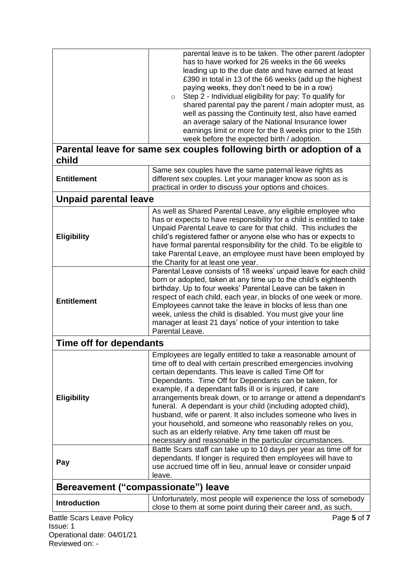|                                              | parental leave is to be taken. The other parent /adopter<br>has to have worked for 26 weeks in the 66 weeks<br>leading up to the due date and have earned at least<br>£390 in total in 13 of the 66 weeks (add up the highest                                                                                                                                                                                                                                                                                                                                                                                                                                                                           |  |
|----------------------------------------------|---------------------------------------------------------------------------------------------------------------------------------------------------------------------------------------------------------------------------------------------------------------------------------------------------------------------------------------------------------------------------------------------------------------------------------------------------------------------------------------------------------------------------------------------------------------------------------------------------------------------------------------------------------------------------------------------------------|--|
|                                              | paying weeks, they don't need to be in a row)<br>Step 2 - Individual eligibility for pay: To qualify for<br>$\circ$<br>shared parental pay the parent / main adopter must, as<br>well as passing the Continuity test, also have earned<br>an average salary of the National Insurance lower<br>earnings limit or more for the 8 weeks prior to the 15th<br>week before the expected birth / adoption.                                                                                                                                                                                                                                                                                                   |  |
| child                                        | Parental leave for same sex couples following birth or adoption of a                                                                                                                                                                                                                                                                                                                                                                                                                                                                                                                                                                                                                                    |  |
| <b>Entitlement</b>                           | Same sex couples have the same paternal leave rights as<br>different sex couples. Let your manager know as soon as is<br>practical in order to discuss your options and choices.                                                                                                                                                                                                                                                                                                                                                                                                                                                                                                                        |  |
| <b>Unpaid parental leave</b>                 |                                                                                                                                                                                                                                                                                                                                                                                                                                                                                                                                                                                                                                                                                                         |  |
| <b>Eligibility</b>                           | As well as Shared Parental Leave, any eligible employee who<br>has or expects to have responsibility for a child is entitled to take<br>Unpaid Parental Leave to care for that child. This includes the<br>child's registered father or anyone else who has or expects to<br>have formal parental responsibility for the child. To be eligible to<br>take Parental Leave, an employee must have been employed by<br>the Charity for at least one year.                                                                                                                                                                                                                                                  |  |
| <b>Entitlement</b>                           | Parental Leave consists of 18 weeks' unpaid leave for each child<br>born or adopted, taken at any time up to the child's eighteenth<br>birthday. Up to four weeks' Parental Leave can be taken in<br>respect of each child, each year, in blocks of one week or more.<br>Employees cannot take the leave in blocks of less than one<br>week, unless the child is disabled. You must give your line<br>manager at least 21 days' notice of your intention to take<br>Parental Leave.                                                                                                                                                                                                                     |  |
| Time off for dependants                      |                                                                                                                                                                                                                                                                                                                                                                                                                                                                                                                                                                                                                                                                                                         |  |
| <b>Eligibility</b>                           | Employees are legally entitled to take a reasonable amount of<br>time off to deal with certain prescribed emergencies involving<br>certain dependants. This leave is called Time Off for<br>Dependants. Time Off for Dependants can be taken, for<br>example, if a dependant falls ill or is injured, if care<br>arrangements break down, or to arrange or attend a dependant's<br>funeral. A dependant is your child (including adopted child),<br>husband, wife or parent. It also includes someone who lives in<br>your household, and someone who reasonably relies on you,<br>such as an elderly relative. Any time taken off must be<br>necessary and reasonable in the particular circumstances. |  |
| Pay                                          | Battle Scars staff can take up to 10 days per year as time off for<br>dependants. If longer is required then employees will have to<br>use accrued time off in lieu, annual leave or consider unpaid<br>leave.                                                                                                                                                                                                                                                                                                                                                                                                                                                                                          |  |
|                                              | Bereavement ("compassionate") leave                                                                                                                                                                                                                                                                                                                                                                                                                                                                                                                                                                                                                                                                     |  |
| <b>Introduction</b>                          | Unfortunately, most people will experience the loss of somebody<br>close to them at some point during their career and, as such,                                                                                                                                                                                                                                                                                                                                                                                                                                                                                                                                                                        |  |
| <b>Battle Scars Leave Policy</b><br>Issue: 1 | Page 5 of 7                                                                                                                                                                                                                                                                                                                                                                                                                                                                                                                                                                                                                                                                                             |  |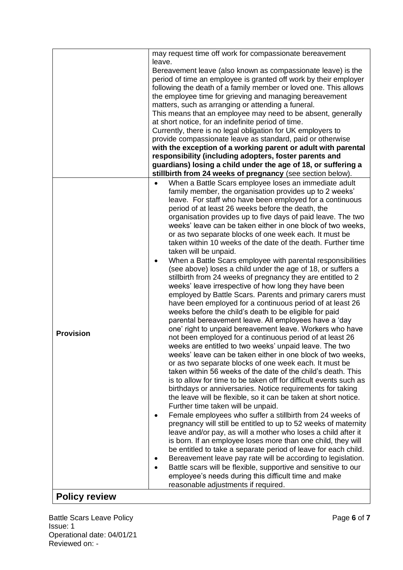|                  | may request time off work for compassionate bereavement                                                                       |
|------------------|-------------------------------------------------------------------------------------------------------------------------------|
|                  | leave.                                                                                                                        |
|                  | Bereavement leave (also known as compassionate leave) is the                                                                  |
|                  | period of time an employee is granted off work by their employer                                                              |
|                  | following the death of a family member or loved one. This allows                                                              |
|                  | the employee time for grieving and managing bereavement                                                                       |
|                  | matters, such as arranging or attending a funeral.                                                                            |
|                  | This means that an employee may need to be absent, generally<br>at short notice, for an indefinite period of time.            |
|                  | Currently, there is no legal obligation for UK employers to                                                                   |
|                  | provide compassionate leave as standard, paid or otherwise                                                                    |
|                  | with the exception of a working parent or adult with parental                                                                 |
|                  | responsibility (including adopters, foster parents and                                                                        |
|                  | guardians) losing a child under the age of 18, or suffering a                                                                 |
|                  | stillbirth from 24 weeks of pregnancy (see section below).                                                                    |
|                  | When a Battle Scars employee loses an immediate adult                                                                         |
|                  | family member, the organisation provides up to 2 weeks'                                                                       |
|                  | leave. For staff who have been employed for a continuous                                                                      |
|                  | period of at least 26 weeks before the death, the                                                                             |
|                  | organisation provides up to five days of paid leave. The two                                                                  |
|                  | weeks' leave can be taken either in one block of two weeks,                                                                   |
|                  | or as two separate blocks of one week each. It must be                                                                        |
|                  | taken within 10 weeks of the date of the death. Further time                                                                  |
|                  | taken will be unpaid.                                                                                                         |
|                  | When a Battle Scars employee with parental responsibilities                                                                   |
|                  | (see above) loses a child under the age of 18, or suffers a                                                                   |
|                  | stillbirth from 24 weeks of pregnancy they are entitled to 2<br>weeks' leave irrespective of how long they have been          |
|                  | employed by Battle Scars. Parents and primary carers must                                                                     |
|                  | have been employed for a continuous period of at least 26                                                                     |
|                  | weeks before the child's death to be eligible for paid                                                                        |
|                  | parental bereavement leave. All employees have a 'day                                                                         |
|                  | one' right to unpaid bereavement leave. Workers who have                                                                      |
| <b>Provision</b> | not been employed for a continuous period of at least 26                                                                      |
|                  | weeks are entitled to two weeks' unpaid leave. The two                                                                        |
|                  | weeks' leave can be taken either in one block of two weeks,                                                                   |
|                  | or as two separate blocks of one week each. It must be                                                                        |
|                  | taken within 56 weeks of the date of the child's death. This                                                                  |
|                  | is to allow for time to be taken off for difficult events such as                                                             |
|                  | birthdays or anniversaries. Notice requirements for taking                                                                    |
|                  | the leave will be flexible, so it can be taken at short notice.                                                               |
|                  | Further time taken will be unpaid.                                                                                            |
|                  | Female employees who suffer a stillbirth from 24 weeks of                                                                     |
|                  | pregnancy will still be entitled to up to 52 weeks of maternity                                                               |
|                  | leave and/or pay, as will a mother who loses a child after it<br>is born. If an employee loses more than one child, they will |
|                  | be entitled to take a separate period of leave for each child.                                                                |
|                  | Bereavement leave pay rate will be according to legislation.                                                                  |
|                  | Battle scars will be flexible, supportive and sensitive to our                                                                |
|                  | employee's needs during this difficult time and make                                                                          |
|                  | reasonable adjustments if required.                                                                                           |
| $D = U \cdot U$  |                                                                                                                               |

## **Policy review**